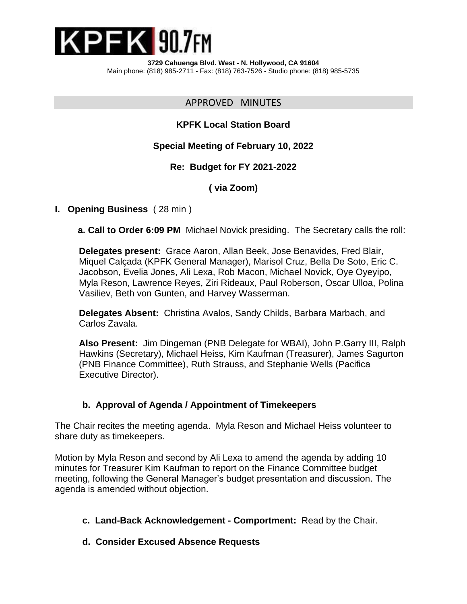

APPROVED MINUTES

## **KPFK Local Station Board**

## **Special Meeting of February 10, 2022**

## **Re: Budget for FY 2021-2022**

**( via Zoom)**

## **I. Opening Business** ( 28 min )

 **a. Call to Order 6:09 PM** Michael Novick presiding. The Secretary calls the roll:

**Delegates present:** Grace Aaron, Allan Beek, Jose Benavides, Fred Blair, Miquel Calçada (KPFK General Manager), Marisol Cruz, Bella De Soto, Eric C. Jacobson, Evelia Jones, Ali Lexa, Rob Macon, Michael Novick, Oye Oyeyipo, Myla Reson, Lawrence Reyes, Ziri Rideaux, Paul Roberson, Oscar Ulloa, Polina Vasiliev, Beth von Gunten, and Harvey Wasserman.

**Delegates Absent:** Christina Avalos, Sandy Childs, Barbara Marbach, and Carlos Zavala.

**Also Present:** Jim Dingeman (PNB Delegate for WBAI), John P.Garry III, Ralph Hawkins (Secretary), Michael Heiss, Kim Kaufman (Treasurer), James Sagurton (PNB Finance Committee), Ruth Strauss, and Stephanie Wells (Pacifica Executive Director).

## **b. Approval of Agenda / Appointment of Timekeepers**

The Chair recites the meeting agenda. Myla Reson and Michael Heiss volunteer to share duty as timekeepers.

Motion by Myla Reson and second by Ali Lexa to amend the agenda by adding 10 minutes for Treasurer Kim Kaufman to report on the Finance Committee budget meeting, following the General Manager's budget presentation and discussion. The agenda is amended without objection.

**c. Land-Back Acknowledgement - Comportment:** Read by the Chair.

#### **d. Consider Excused Absence Requests**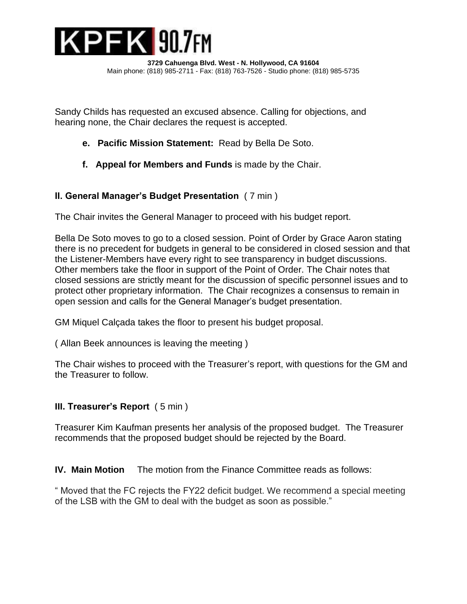

Sandy Childs has requested an excused absence. Calling for objections, and hearing none, the Chair declares the request is accepted.

- **e. Pacific Mission Statement:** Read by Bella De Soto.
- **f. Appeal for Members and Funds** is made by the Chair.

## **II. General Manager's Budget Presentation** ( 7 min )

The Chair invites the General Manager to proceed with his budget report.

Bella De Soto moves to go to a closed session. Point of Order by Grace Aaron stating there is no precedent for budgets in general to be considered in closed session and that the Listener-Members have every right to see transparency in budget discussions. Other members take the floor in support of the Point of Order. The Chair notes that closed sessions are strictly meant for the discussion of specific personnel issues and to protect other proprietary information. The Chair recognizes a consensus to remain in open session and calls for the General Manager's budget presentation.

GM Miquel Calçada takes the floor to present his budget proposal.

( Allan Beek announces is leaving the meeting )

The Chair wishes to proceed with the Treasurer's report, with questions for the GM and the Treasurer to follow.

## **III. Treasurer's Report** ( 5 min )

Treasurer Kim Kaufman presents her analysis of the proposed budget. The Treasurer recommends that the proposed budget should be rejected by the Board.

**IV. Main Motion** The motion from the Finance Committee reads as follows:

" Moved that the FC rejects the FY22 deficit budget. We recommend a special meeting of the LSB with the GM to deal with the budget as soon as possible."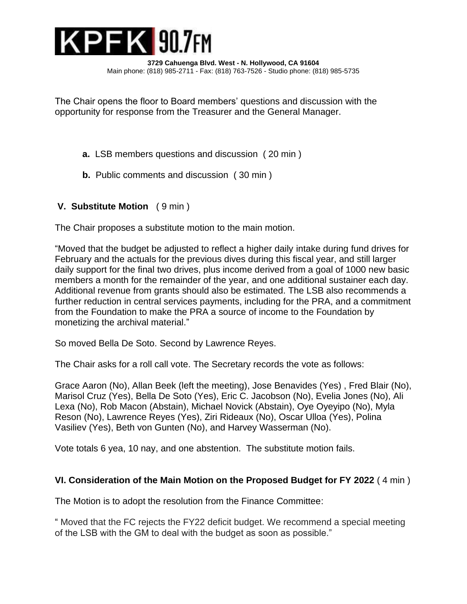

The Chair opens the floor to Board members' questions and discussion with the opportunity for response from the Treasurer and the General Manager.

- **a.** LSB members questions and discussion ( 20 min )
- **b.** Public comments and discussion ( 30 min )

# **V. Substitute Motion** ( 9 min )

The Chair proposes a substitute motion to the main motion.

"Moved that the budget be adjusted to reflect a higher daily intake during fund drives for February and the actuals for the previous dives during this fiscal year, and still larger daily support for the final two drives, plus income derived from a goal of 1000 new basic members a month for the remainder of the year, and one additional sustainer each day. Additional revenue from grants should also be estimated. The LSB also recommends a further reduction in central services payments, including for the PRA, and a commitment from the Foundation to make the PRA a source of income to the Foundation by monetizing the archival material."

So moved Bella De Soto. Second by Lawrence Reyes.

The Chair asks for a roll call vote. The Secretary records the vote as follows:

Grace Aaron (No), Allan Beek (left the meeting), Jose Benavides (Yes) , Fred Blair (No), Marisol Cruz (Yes), Bella De Soto (Yes), Eric C. Jacobson (No), Evelia Jones (No), Ali Lexa (No), Rob Macon (Abstain), Michael Novick (Abstain), Oye Oyeyipo (No), Myla Reson (No), Lawrence Reyes (Yes), Ziri Rideaux (No), Oscar Ulloa (Yes), Polina Vasiliev (Yes), Beth von Gunten (No), and Harvey Wasserman (No).

Vote totals 6 yea, 10 nay, and one abstention. The substitute motion fails.

## **VI. Consideration of the Main Motion on the Proposed Budget for FY 2022** ( 4 min )

The Motion is to adopt the resolution from the Finance Committee:

" Moved that the FC rejects the FY22 deficit budget. We recommend a special meeting of the LSB with the GM to deal with the budget as soon as possible."